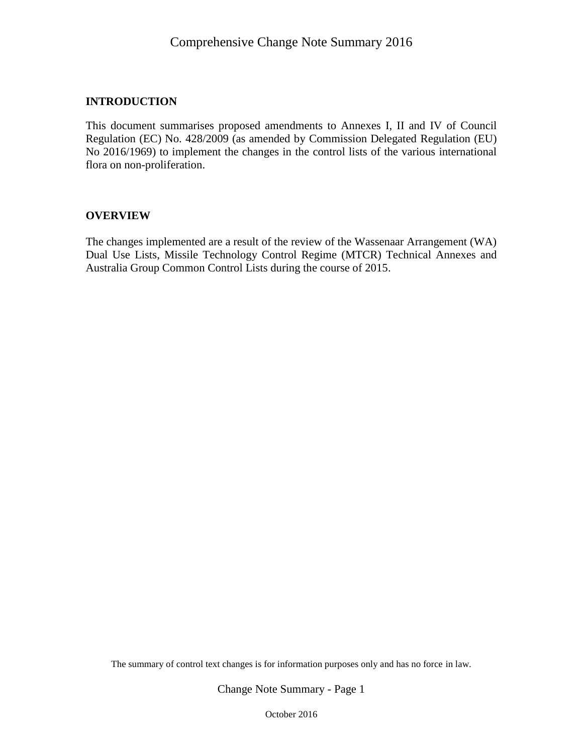#### **INTRODUCTION**

This document summarises proposed amendments to Annexes I, II and IV of Council Regulation (EC) No. 428/2009 (as amended by Commission Delegated Regulation (EU) No 2016/1969) to implement the changes in the control lists of the various international flora on non-proliferation.

#### **OVERVIEW**

The changes implemented are a result of the review of the Wassenaar Arrangement (WA) Dual Use Lists, Missile Technology Control Regime (MTCR) Technical Annexes and Australia Group Common Control Lists during the course of 2015.

The summary of control text changes is for information purposes only and has no force in law.

Change Note Summary - Page 1

October 2016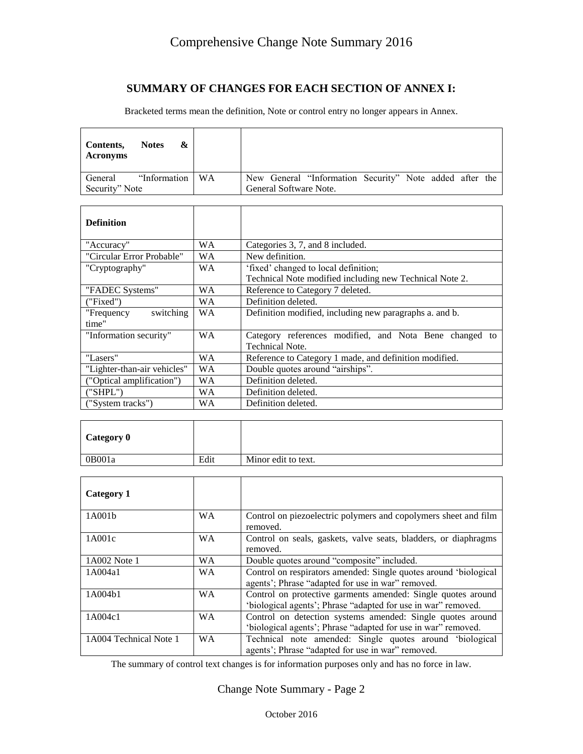#### **SUMMARY OF CHANGES FOR EACH SECTION OF ANNEX I:**

Bracketed terms mean the definition, Note or control entry no longer appears in Annex.

| &<br><b>Notes</b><br>Contents,<br><b>Acronyms</b> |           |                                                         |
|---------------------------------------------------|-----------|---------------------------------------------------------|
| "Information"<br>General                          | <b>WA</b> | New General "Information Security" Note added after the |
| Security" Note                                    |           | General Software Note.                                  |
|                                                   |           |                                                         |
| <b>Definition</b>                                 |           |                                                         |
| "Accuracy"                                        | WA        | Categories 3, 7, and 8 included.                        |
| "Circular Error Probable"                         | <b>WA</b> | New definition.                                         |
| "Cryptography"                                    | WA        | 'fixed' changed to local definition;                    |
|                                                   |           | Technical Note modified including new Technical Note 2. |
| "FADEC Systems"                                   | WA        | Reference to Category 7 deleted.                        |
| ("Fixed")                                         | WA.       | Definition deleted.                                     |
| switching<br>"Frequency<br>time"                  | WA        | Definition modified, including new paragraphs a. and b. |
| "Information security"                            | WА        | Category references modified, and Nota Bene changed to  |

|    | Technical Note.                                        |
|----|--------------------------------------------------------|
| WА | Reference to Category 1 made, and definition modified. |
| WА | Double quotes around "airships".                       |
| WΑ | Definition deleted.                                    |
| WА | Definition deleted.                                    |
| WA | Definition deleted.                                    |
|    |                                                        |

| Category 0 |      |                     |
|------------|------|---------------------|
| 0B001a     | Edit | Minor edit to text. |

| Category 1             |           |                                                                                                                               |
|------------------------|-----------|-------------------------------------------------------------------------------------------------------------------------------|
| 1A001b                 | <b>WA</b> | Control on piezoelectric polymers and copolymers sheet and film<br>removed.                                                   |
| 1A001c                 | <b>WA</b> | Control on seals, gaskets, valve seats, bladders, or diaphragms<br>removed.                                                   |
| 1A002 Note 1           | <b>WA</b> | Double quotes around "composite" included.                                                                                    |
| 1A004a1                | <b>WA</b> | Control on respirators amended: Single quotes around 'biological<br>agents'; Phrase "adapted for use in war" removed.         |
| 1A004b1                | <b>WA</b> | Control on protective garments amended: Single quotes around<br>'biological agents'; Phrase "adapted for use in war" removed. |
| 1A004c1                | <b>WA</b> | Control on detection systems amended: Single quotes around<br>'biological agents'; Phrase "adapted for use in war" removed.   |
| 1A004 Technical Note 1 | <b>WA</b> | Technical note amended: Single quotes around 'biological<br>agents'; Phrase "adapted for use in war" removed.                 |

The summary of control text changes is for information purposes only and has no force in law.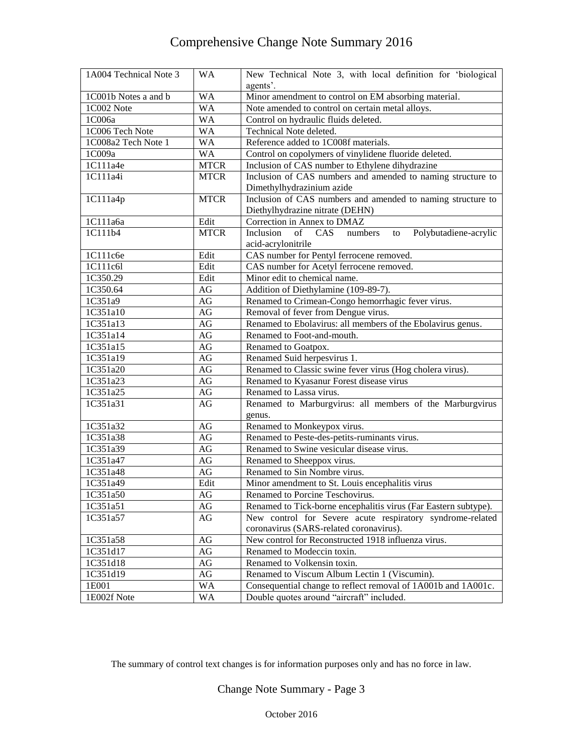| 1A004 Technical Note 3 | <b>WA</b>   | New Technical Note 3, with local definition for 'biological<br>agents'. |
|------------------------|-------------|-------------------------------------------------------------------------|
| 1C001b Notes a and b   | <b>WA</b>   | Minor amendment to control on EM absorbing material.                    |
| 1C002 Note             | <b>WA</b>   | Note amended to control on certain metal alloys.                        |
| 1C006a                 | <b>WA</b>   | Control on hydraulic fluids deleted.                                    |
| 1C006 Tech Note        | <b>WA</b>   | Technical Note deleted.                                                 |
| 1C008a2 Tech Note 1    | <b>WA</b>   | Reference added to 1C008f materials.                                    |
| 1C009a                 | WA          | Control on copolymers of vinylidene fluoride deleted.                   |
| 1C111a4e               | <b>MTCR</b> | Inclusion of CAS number to Ethylene dihydrazine                         |
| 1C111a4i               | <b>MTCR</b> | Inclusion of CAS numbers and amended to naming structure to             |
|                        |             | Dimethylhydrazinium azide                                               |
| 1C111a4p               | <b>MTCR</b> | Inclusion of CAS numbers and amended to naming structure to             |
|                        |             | Diethylhydrazine nitrate (DEHN)                                         |
| 1C111a6a               | Edit        | Correction in Annex to DMAZ                                             |
| 1C111b4                | <b>MTCR</b> | Inclusion<br>Polybutadiene-acrylic<br>of CAS<br>numbers<br>to           |
|                        |             | acid-acrylonitrile                                                      |
| 1C111c6e               | Edit        | CAS number for Pentyl ferrocene removed.                                |
| 1C111c6l               | Edit        | CAS number for Acetyl ferrocene removed.                                |
| 1C350.29               | Edit        | Minor edit to chemical name.                                            |
| 1C350.64               | AG          | Addition of Diethylamine (109-89-7).                                    |
| 1C351a9                | AG          | Renamed to Crimean-Congo hemorrhagic fever virus.                       |
| 1C351a10               | AG          | Removal of fever from Dengue virus.                                     |
| 1C351a13               | AG          | Renamed to Ebolavirus: all members of the Ebolavirus genus.             |
| 1C351a14               | AG          | Renamed to Foot-and-mouth.                                              |
| 1C351a15               | AG          | Renamed to Goatpox.                                                     |
| 1C351a19               | AG          | Renamed Suid herpesvirus 1.                                             |
| 1C351a20               | AG          | Renamed to Classic swine fever virus (Hog cholera virus).               |
| 1C351a23               | AG          | Renamed to Kyasanur Forest disease virus                                |
| 1C351a25               | AG          | Renamed to Lassa virus.                                                 |
| 1C351a31               | AG          | Renamed to Marburgvirus: all members of the Marburgvirus                |
|                        |             | genus.                                                                  |
| 1C351a32               | AG          | Renamed to Monkeypox virus.                                             |
| 1C351a38               | AG          | Renamed to Peste-des-petits-ruminants virus.                            |
| 1C351a39               | AG          | Renamed to Swine vesicular disease virus.                               |
| 1C351a47               | AG          | Renamed to Sheeppox virus.                                              |
| 1C351a48               | $\rm{AG}$   | Renamed to Sin Nombre virus.                                            |
| 1C351a49               | Edit        | Minor amendment to St. Louis encephalitis virus                         |
| 1C351a50               | $\rm{AG}$   | Renamed to Porcine Teschovirus.                                         |
| 1C351a51               | AG          | Renamed to Tick-borne encephalitis virus (Far Eastern subtype).         |
| 1C351a57               | AG          | New control for Severe acute respiratory syndrome-related               |
|                        |             | coronavirus (SARS-related coronavirus).                                 |
| 1C351a58               | AG          | New control for Reconstructed 1918 influenza virus.                     |
| 1C351d17               | AG          | Renamed to Modeccin toxin.                                              |
| 1C351d18               | AG          | Renamed to Volkensin toxin.                                             |
| 1C351d19               | AG          | Renamed to Viscum Album Lectin 1 (Viscumin).                            |
| 1E001                  | <b>WA</b>   | Consequential change to reflect removal of 1A001b and 1A001c.           |
| 1E002f Note            | <b>WA</b>   | Double quotes around "aircraft" included.                               |

The summary of control text changes is for information purposes only and has no force in law.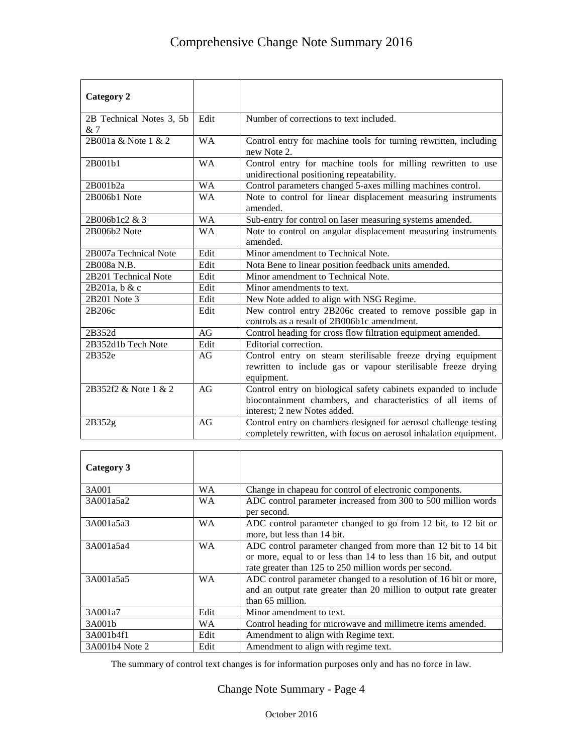| <b>Category 2</b>              |           |                                                                                                                                                                 |
|--------------------------------|-----------|-----------------------------------------------------------------------------------------------------------------------------------------------------------------|
| 2B Technical Notes 3, 5b<br>&7 | Edit      | Number of corrections to text included.                                                                                                                         |
| 2B001a & Note 1 & 2            | <b>WA</b> | Control entry for machine tools for turning rewritten, including<br>new Note 2.                                                                                 |
| 2B001b1                        | <b>WA</b> | Control entry for machine tools for milling rewritten to use<br>unidirectional positioning repeatability.                                                       |
| 2B001b2a                       | <b>WA</b> | Control parameters changed 5-axes milling machines control.                                                                                                     |
| 2B006b1 Note                   | <b>WA</b> | Note to control for linear displacement measuring instruments<br>amended.                                                                                       |
| 2B006b1c2 & 3                  | <b>WA</b> | Sub-entry for control on laser measuring systems amended.                                                                                                       |
| 2B006b2 Note                   | <b>WA</b> | Note to control on angular displacement measuring instruments<br>amended.                                                                                       |
| 2B007a Technical Note          | Edit      | Minor amendment to Technical Note.                                                                                                                              |
| 2B008a N.B.                    | Edit      | Nota Bene to linear position feedback units amended.                                                                                                            |
| 2B201 Technical Note           | Edit      | Minor amendment to Technical Note.                                                                                                                              |
| $2B201a$ , b & c               | Edit      | Minor amendments to text.                                                                                                                                       |
| 2B201 Note 3                   | Edit      | New Note added to align with NSG Regime.                                                                                                                        |
| 2B206c                         | Edit      | New control entry 2B206c created to remove possible gap in<br>controls as a result of 2B006b1c amendment.                                                       |
| 2B352d                         | AG        | Control heading for cross flow filtration equipment amended.                                                                                                    |
| 2B352d1b Tech Note             | Edit      | Editorial correction.                                                                                                                                           |
| 2B352e                         | AG        | Control entry on steam sterilisable freeze drying equipment<br>rewritten to include gas or vapour sterilisable freeze drying<br>equipment.                      |
| 2B352f2 & Note 1 & 2           | AG        | Control entry on biological safety cabinets expanded to include<br>biocontainment chambers, and characteristics of all items of<br>interest: 2 new Notes added. |
| 2B352g                         | AG        | Control entry on chambers designed for aerosol challenge testing<br>completely rewritten, with focus on aerosol inhalation equipment.                           |

| Category 3     |           |                                                                                                                                                                                              |
|----------------|-----------|----------------------------------------------------------------------------------------------------------------------------------------------------------------------------------------------|
| 3A001          | WA.       | Change in chapeau for control of electronic components.                                                                                                                                      |
| 3A001a5a2      | <b>WA</b> | ADC control parameter increased from 300 to 500 million words<br>per second.                                                                                                                 |
| 3A001a5a3      | <b>WA</b> | ADC control parameter changed to go from 12 bit, to 12 bit or<br>more, but less than 14 bit.                                                                                                 |
| 3A001a5a4      | <b>WA</b> | ADC control parameter changed from more than 12 bit to 14 bit<br>or more, equal to or less than 14 to less than 16 bit, and output<br>rate greater than 125 to 250 million words per second. |
| 3A001a5a5      | WA.       | ADC control parameter changed to a resolution of 16 bit or more,<br>and an output rate greater than 20 million to output rate greater<br>than 65 million.                                    |
| 3A001a7        | Edit      | Minor amendment to text.                                                                                                                                                                     |
| 3A001b         | <b>WA</b> | Control heading for microwave and millimetre items amended.                                                                                                                                  |
| 3A001b4f1      | Edit      | Amendment to align with Regime text.                                                                                                                                                         |
| 3A001b4 Note 2 | Edit      | Amendment to align with regime text.                                                                                                                                                         |

The summary of control text changes is for information purposes only and has no force in law.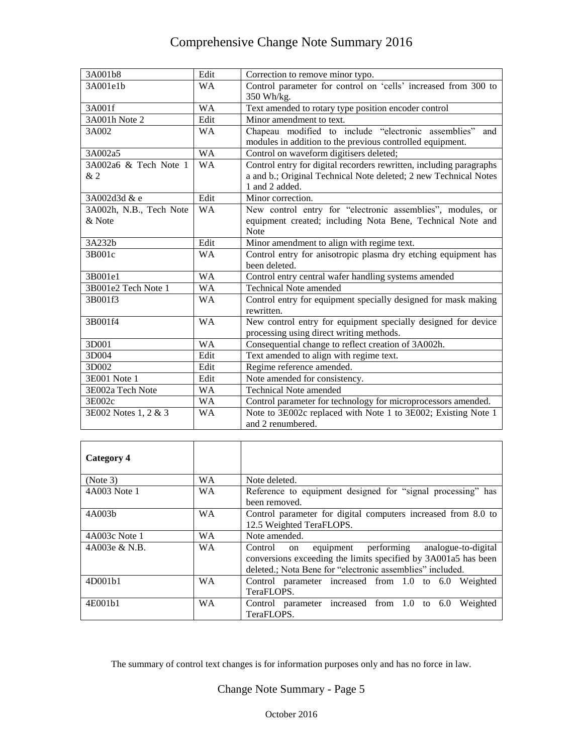| 3A001b8                     | Edit      | Correction to remove minor typo.                                                                                                                          |
|-----------------------------|-----------|-----------------------------------------------------------------------------------------------------------------------------------------------------------|
| 3A001e1b                    | <b>WA</b> | Control parameter for control on 'cells' increased from 300 to                                                                                            |
|                             |           | 350 Wh/kg.                                                                                                                                                |
| 3A001f                      | <b>WA</b> | Text amended to rotary type position encoder control                                                                                                      |
| 3A001h Note 2               | Edit      | Minor amendment to text.                                                                                                                                  |
| 3A002                       | <b>WA</b> | Chapeau modified to include "electronic assemblies"<br>and<br>modules in addition to the previous controlled equipment.                                   |
| 3A002a5                     | <b>WA</b> | Control on waveform digitisers deleted;                                                                                                                   |
| 3A002a6 & Tech Note 1<br>&2 | <b>WA</b> | Control entry for digital recorders rewritten, including paragraphs<br>a and b.; Original Technical Note deleted; 2 new Technical Notes<br>1 and 2 added. |
| 3A002d3d & e                | Edit      | Minor correction.                                                                                                                                         |
| 3A002h, N.B., Tech Note     | <b>WA</b> | New control entry for "electronic assemblies", modules, or                                                                                                |
| & Note                      |           | equipment created; including Nota Bene, Technical Note and<br><b>Note</b>                                                                                 |
| 3A232b                      | Edit      | Minor amendment to align with regime text.                                                                                                                |
| 3B001c                      | <b>WA</b> | Control entry for anisotropic plasma dry etching equipment has<br>been deleted.                                                                           |
| 3B001e1                     | <b>WA</b> | Control entry central wafer handling systems amended                                                                                                      |
| 3B001e2 Tech Note 1         | <b>WA</b> | <b>Technical Note amended</b>                                                                                                                             |
| 3B001f3                     | <b>WA</b> | Control entry for equipment specially designed for mask making<br>rewritten.                                                                              |
| 3B001f4                     | <b>WA</b> | New control entry for equipment specially designed for device<br>processing using direct writing methods.                                                 |
| 3D001                       | <b>WA</b> | Consequential change to reflect creation of 3A002h.                                                                                                       |
| 3D004                       | Edit      | Text amended to align with regime text.                                                                                                                   |
| 3D002                       | Edit      | Regime reference amended.                                                                                                                                 |
| 3E001 Note 1                | Edit      | Note amended for consistency.                                                                                                                             |
| 3E002a Tech Note            | <b>WA</b> | <b>Technical Note amended</b>                                                                                                                             |
| 3E002c                      | WA        | Control parameter for technology for microprocessors amended.                                                                                             |
| 3E002 Notes 1, 2 & 3        | <b>WA</b> | Note to 3E002c replaced with Note 1 to 3E002; Existing Note 1<br>and 2 renumbered.                                                                        |
|                             |           |                                                                                                                                                           |

| Category 4       |           |                                                                                                                                                                                             |
|------------------|-----------|---------------------------------------------------------------------------------------------------------------------------------------------------------------------------------------------|
| (Note 3)         | <b>WA</b> | Note deleted.                                                                                                                                                                               |
| 4A003 Note 1     | <b>WA</b> | Reference to equipment designed for "signal processing" has<br>been removed.                                                                                                                |
| 4A003b           | <b>WA</b> | Control parameter for digital computers increased from 8.0 to<br>12.5 Weighted TeraFLOPS.                                                                                                   |
| $4A003c$ Note 1  | <b>WA</b> | Note amended.                                                                                                                                                                               |
| $4A003e \& N.B.$ | <b>WA</b> | equipment performing<br>analogue-to-digital<br>Control<br>on<br>conversions exceeding the limits specified by 3A001a5 has been<br>deleted.; Nota Bene for "electronic assemblies" included. |
| 4D001b1          | <b>WA</b> | Control parameter increased from 1.0 to 6.0 Weighted<br>TeraFLOPS.                                                                                                                          |
| 4E001b1          | <b>WA</b> | Control parameter increased from $1.0$ to $6.0$<br>Weighted<br>TeraFLOPS.                                                                                                                   |

The summary of control text changes is for information purposes only and has no force in law.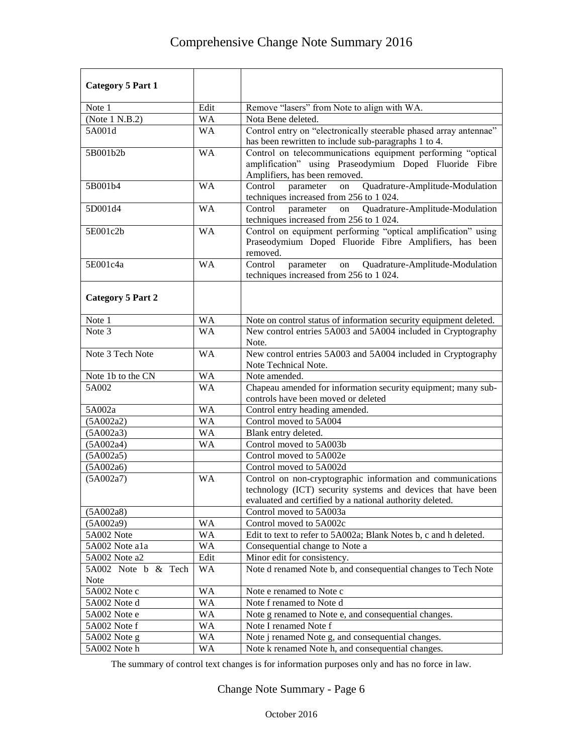| <b>Category 5 Part 1</b>           |           |                                                                                                                                                                                         |
|------------------------------------|-----------|-----------------------------------------------------------------------------------------------------------------------------------------------------------------------------------------|
| Note 1                             | Edit      | Remove "lasers" from Note to align with WA.                                                                                                                                             |
| (Note 1 N.B.2)                     | <b>WA</b> | Nota Bene deleted.                                                                                                                                                                      |
| 5A001d                             | <b>WA</b> | Control entry on "electronically steerable phased array antennae"<br>has been rewritten to include sub-paragraphs 1 to 4.                                                               |
| 5B001b2b                           | <b>WA</b> | Control on telecommunications equipment performing "optical<br>amplification" using Praseodymium Doped Fluoride Fibre<br>Amplifiers, has been removed.                                  |
| 5B001b4                            | <b>WA</b> | Quadrature-Amplitude-Modulation<br>Control<br>on<br>parameter<br>techniques increased from 256 to 1 024.                                                                                |
| 5D001d4                            | <b>WA</b> | Quadrature-Amplitude-Modulation<br>Control<br>parameter<br>on<br>techniques increased from 256 to 1 024.                                                                                |
| 5E001c2b                           | <b>WA</b> | Control on equipment performing "optical amplification" using<br>Praseodymium Doped Fluoride Fibre Amplifiers, has been<br>removed.                                                     |
| 5E001c4a                           | <b>WA</b> | Control<br>Quadrature-Amplitude-Modulation<br>parameter<br>on<br>techniques increased from 256 to 1 024.                                                                                |
| <b>Category 5 Part 2</b>           |           |                                                                                                                                                                                         |
| Note 1                             | WA        | Note on control status of information security equipment deleted.                                                                                                                       |
| Note 3                             | <b>WA</b> | New control entries 5A003 and 5A004 included in Cryptography<br>Note.                                                                                                                   |
| Note 3 Tech Note                   | <b>WA</b> | New control entries 5A003 and 5A004 included in Cryptography<br>Note Technical Note.                                                                                                    |
| Note 1b to the CN                  | <b>WA</b> | Note amended.                                                                                                                                                                           |
| 5A002                              | <b>WA</b> | Chapeau amended for information security equipment; many sub-<br>controls have been moved or deleted                                                                                    |
| 5A002a                             | <b>WA</b> | Control entry heading amended.                                                                                                                                                          |
| (5A002a2)                          | <b>WA</b> | Control moved to 5A004                                                                                                                                                                  |
| (5A002a3)                          | <b>WA</b> | Blank entry deleted.                                                                                                                                                                    |
| (5A002a4)                          | <b>WA</b> | Control moved to 5A003b                                                                                                                                                                 |
| (5A002a5)                          |           | Control moved to 5A002e                                                                                                                                                                 |
| (5A002a6)                          |           | Control moved to 5A002d                                                                                                                                                                 |
| (5A002a7)                          | <b>WA</b> | Control on non-cryptographic information and communications<br>technology (ICT) security systems and devices that have been<br>evaluated and certified by a national authority deleted. |
| (5A002a8)                          |           | Control moved to 5A003a                                                                                                                                                                 |
| (5A002a9)                          | WA        | Control moved to 5A002c                                                                                                                                                                 |
| 5A002 Note                         | WA        | Edit to text to refer to 5A002a; Blank Notes b, c and h deleted.                                                                                                                        |
| 5A002 Note a1a                     | WA        | Consequential change to Note a                                                                                                                                                          |
| 5A002 Note a2                      | Edit      | Minor edit for consistency.                                                                                                                                                             |
| 5A002 Note b & Tech<br><b>Note</b> | WA        | Note d renamed Note b, and consequential changes to Tech Note                                                                                                                           |
| 5A002 Note c                       | WA        | Note e renamed to Note c                                                                                                                                                                |
| 5A002 Note d                       | WA        | Note f renamed to Note d                                                                                                                                                                |
| 5A002 Note e                       | WA        | Note g renamed to Note e, and consequential changes.                                                                                                                                    |
| 5A002 Note f                       | WA        | Note I renamed Note f                                                                                                                                                                   |
| 5A002 Note g                       | WA        | Note j renamed Note g, and consequential changes.                                                                                                                                       |
| 5A002 Note h                       | WA        | Note k renamed Note h, and consequential changes.                                                                                                                                       |

The summary of control text changes is for information purposes only and has no force in law.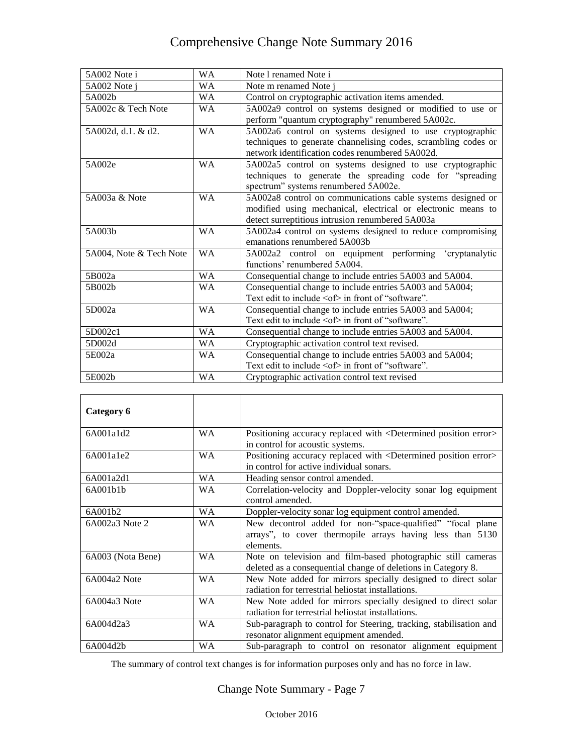| 5A002 Note i            | <b>WA</b> | Note 1 renamed Note i                                                                                                                                                           |
|-------------------------|-----------|---------------------------------------------------------------------------------------------------------------------------------------------------------------------------------|
| 5A002 Note j            | <b>WA</b> | Note m renamed Note i                                                                                                                                                           |
| 5A002b                  | <b>WA</b> | Control on cryptographic activation items amended.                                                                                                                              |
| 5A002c & Tech Note      | <b>WA</b> | 5A002a9 control on systems designed or modified to use or<br>perform "quantum cryptography" renumbered 5A002c.                                                                  |
| 5A002d, d.1. & d2.      | <b>WA</b> | 5A002a6 control on systems designed to use cryptographic<br>techniques to generate channelising codes, scrambling codes or<br>network identification codes renumbered 5A002d.   |
| 5A002e                  | <b>WA</b> | 5A002a5 control on systems designed to use cryptographic<br>techniques to generate the spreading code for "spreading<br>spectrum" systems renumbered 5A002e.                    |
| 5A003a & Note           | <b>WA</b> | 5A002a8 control on communications cable systems designed or<br>modified using mechanical, electrical or electronic means to<br>detect surreptitious intrusion renumbered 5A003a |
| 5A003b                  | <b>WA</b> | 5A002a4 control on systems designed to reduce compromising<br>emanations renumbered 5A003b                                                                                      |
| 5A004, Note & Tech Note | <b>WA</b> | 5A002a2 control on equipment performing 'cryptanalytic<br>functions' renumbered 5A004.                                                                                          |
| 5B002a                  | <b>WA</b> | Consequential change to include entries 5A003 and 5A004.                                                                                                                        |
| 5B002b                  | <b>WA</b> | Consequential change to include entries 5A003 and 5A004;<br>Text edit to include <of> in front of "software".</of>                                                              |
| 5D002a                  | <b>WA</b> | Consequential change to include entries 5A003 and 5A004;<br>Text edit to include $\leq$ of $>$ in front of "software".                                                          |
| 5D002c1                 | <b>WA</b> | Consequential change to include entries 5A003 and 5A004.                                                                                                                        |
| 5D002d                  | <b>WA</b> | Cryptographic activation control text revised.                                                                                                                                  |
| 5E002a                  | <b>WA</b> | Consequential change to include entries 5A003 and 5A004;<br>Text edit to include <of> in front of "software".</of>                                                              |
| 5E002b                  | <b>WA</b> | Cryptographic activation control text revised                                                                                                                                   |

| Category 6        |           |                                                                                                                                       |
|-------------------|-----------|---------------------------------------------------------------------------------------------------------------------------------------|
| 6A001a1d2         | WA        | Positioning accuracy replaced with <determined error="" position=""><br/>in control for acoustic systems.</determined>                |
| 6A001a1e2         | <b>WA</b> | Positioning accuracy replaced with <determined error="" position=""><br/>in control for active individual sonars.</determined>        |
| 6A001a2d1         | <b>WA</b> | Heading sensor control amended.                                                                                                       |
| 6A001b1b          | <b>WA</b> | Correlation-velocity and Doppler-velocity sonar log equipment<br>control amended.                                                     |
| 6A001b2           | <b>WA</b> | Doppler-velocity sonar log equipment control amended.                                                                                 |
| 6A002a3 Note 2    | <b>WA</b> | New decontrol added for non-"space-qualified" "focal plane"<br>arrays", to cover thermopile arrays having less than 5130<br>elements. |
| 6A003 (Nota Bene) | <b>WA</b> | Note on television and film-based photographic still cameras<br>deleted as a consequential change of deletions in Category 8.         |
| 6A004a2 Note      | <b>WA</b> | New Note added for mirrors specially designed to direct solar<br>radiation for terrestrial heliostat installations.                   |
| 6A004a3 Note      | <b>WA</b> | New Note added for mirrors specially designed to direct solar<br>radiation for terrestrial heliostat installations.                   |
| 6A004d2a3         | <b>WA</b> | Sub-paragraph to control for Steering, tracking, stabilisation and<br>resonator alignment equipment amended.                          |
| 6A004d2b          | WA        | Sub-paragraph to control on resonator alignment equipment                                                                             |

The summary of control text changes is for information purposes only and has no force in law.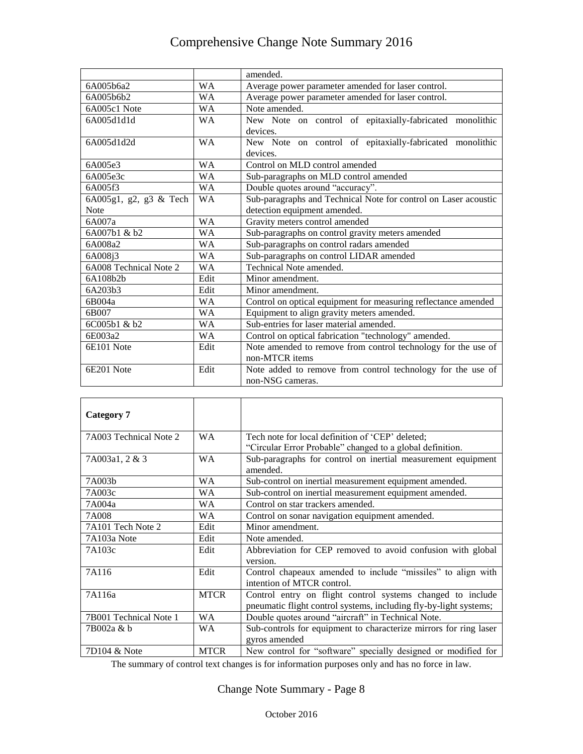|                        |           | amended.                                                        |
|------------------------|-----------|-----------------------------------------------------------------|
| 6A005b6a2              | <b>WA</b> | Average power parameter amended for laser control.              |
| 6A005b6b2              | <b>WA</b> | Average power parameter amended for laser control.              |
| 6A005c1 Note           | <b>WA</b> | Note amended.                                                   |
| 6A005d1d1d             | <b>WA</b> | New Note on control of epitaxially-fabricated monolithic        |
|                        |           | devices.                                                        |
| 6A005d1d2d             | <b>WA</b> | New Note on control of epitaxially-fabricated monolithic        |
|                        |           | devices.                                                        |
| 6A005e3                | <b>WA</b> | Control on MLD control amended                                  |
| 6A005e3c               | WA        | Sub-paragraphs on MLD control amended                           |
| 6A005f3                | <b>WA</b> | Double quotes around "accuracy".                                |
| 6A005g1, g2, g3 & Tech | <b>WA</b> | Sub-paragraphs and Technical Note for control on Laser acoustic |
| <b>Note</b>            |           | detection equipment amended.                                    |
| 6A007a                 | <b>WA</b> | Gravity meters control amended                                  |
| 6A007b1 & b2           | <b>WA</b> | Sub-paragraphs on control gravity meters amended                |
| 6A008a2                | WA        | Sub-paragraphs on control radars amended                        |
| 6A008i3                | <b>WA</b> | Sub-paragraphs on control LIDAR amended                         |
| 6A008 Technical Note 2 | <b>WA</b> | Technical Note amended.                                         |
| 6A108b2b               | Edit      | Minor amendment.                                                |
| 6A203b3                | Edit      | Minor amendment.                                                |
| 6B004a                 | <b>WA</b> | Control on optical equipment for measuring reflectance amended  |
| 6B007                  | <b>WA</b> | Equipment to align gravity meters amended.                      |
| $6C(0)$ 5b1 & b2       | <b>WA</b> | Sub-entries for laser material amended.                         |
| 6E003a2                | <b>WA</b> | Control on optical fabrication "technology" amended.            |
| 6E101 Note             | Edit      | Note amended to remove from control technology for the use of   |
|                        |           | non-MTCR items                                                  |
| 6E201 Note             | Edit      | Note added to remove from control technology for the use of     |
|                        |           | non-NSG cameras.                                                |

| Category 7             |             |                                                                                                                                 |
|------------------------|-------------|---------------------------------------------------------------------------------------------------------------------------------|
| 7A003 Technical Note 2 | <b>WA</b>   | Tech note for local definition of 'CEP' deleted;<br>"Circular Error Probable" changed to a global definition.                   |
| 7A003a1, 2 & 3         | <b>WA</b>   | Sub-paragraphs for control on inertial measurement equipment<br>amended.                                                        |
| 7A003b                 | <b>WA</b>   | Sub-control on inertial measurement equipment amended.                                                                          |
| 7A003c                 | WA          | Sub-control on inertial measurement equipment amended.                                                                          |
| 7A004a                 | <b>WA</b>   | Control on star trackers amended.                                                                                               |
| 7A008                  | WA          | Control on sonar navigation equipment amended.                                                                                  |
| 7A101 Tech Note 2      | Edit        | Minor amendment.                                                                                                                |
| 7A103a Note            | Edit        | Note amended.                                                                                                                   |
| 7A103c                 | Edit        | Abbreviation for CEP removed to avoid confusion with global<br>version.                                                         |
| 7A116                  | Edit        | Control chapeaux amended to include "missiles" to align with<br>intention of MTCR control.                                      |
| 7A116a                 | <b>MTCR</b> | Control entry on flight control systems changed to include<br>pneumatic flight control systems, including fly-by-light systems; |
| 7B001 Technical Note 1 | <b>WA</b>   | Double quotes around "aircraft" in Technical Note.                                                                              |
| 7B002a & b             | WA.         | Sub-controls for equipment to characterize mirrors for ring laser<br>gyros amended                                              |
| 7D104 & Note           | <b>MTCR</b> | New control for "software" specially designed or modified for                                                                   |

The summary of control text changes is for information purposes only and has no force in law.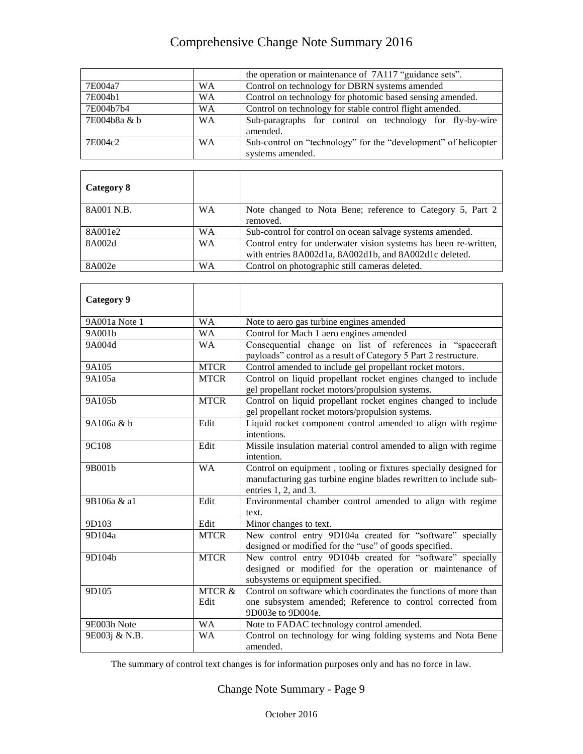|              |           | the operation or maintenance of 7A117 "guidance sets".                              |
|--------------|-----------|-------------------------------------------------------------------------------------|
| 7E004a7      | <b>WA</b> | Control on technology for DBRN systems amended                                      |
| 7E004b1      | <b>WA</b> | Control on technology for photomic based sensing amended.                           |
| 7E004b7b4    | <b>WA</b> | Control on technology for stable control flight amended.                            |
| 7E004b8a & b | <b>WA</b> | Sub-paragraphs for control on technology for fly-by-wire<br>amended.                |
| 7E004c2      | <b>WA</b> | Sub-control on "technology" for the "development" of helicopter<br>systems amended. |
|              |           |                                                                                     |
|              |           |                                                                                     |

| Category 8 |           |                                                                                                                            |
|------------|-----------|----------------------------------------------------------------------------------------------------------------------------|
| 8A001 N.B. | <b>WA</b> | Note changed to Nota Bene; reference to Category 5, Part 2<br>removed.                                                     |
| 8A001e2    | <b>WA</b> | Sub-control for control on ocean salvage systems amended.                                                                  |
| 8A002d     | <b>WA</b> | Control entry for underwater vision systems has been re-written,<br>with entries 8A002d1a, 8A002d1b, and 8A002d1c deleted. |
| 8A002e     | WA        | Control on photographic still cameras deleted.                                                                             |

| <b>Category 9</b> |                           |                                                                                                                                                                     |
|-------------------|---------------------------|---------------------------------------------------------------------------------------------------------------------------------------------------------------------|
| 9A001a Note 1     | <b>WA</b>                 | Note to aero gas turbine engines amended                                                                                                                            |
| 9A001b            | <b>WA</b>                 | Control for Mach 1 aero engines amended                                                                                                                             |
| 9A004d            | <b>WA</b>                 | Consequential change on list of references in "spacecraft<br>payloads" control as a result of Category 5 Part 2 restructure.                                        |
| 9A105             | <b>MTCR</b>               | Control amended to include gel propellant rocket motors.                                                                                                            |
| 9A105a            | <b>MTCR</b>               | Control on liquid propellant rocket engines changed to include<br>gel propellant rocket motors/propulsion systems.                                                  |
| 9A105b            | <b>MTCR</b>               | Control on liquid propellant rocket engines changed to include<br>gel propellant rocket motors/propulsion systems.                                                  |
| 9A106a & b        | Edit                      | Liquid rocket component control amended to align with regime<br>intentions.                                                                                         |
| 9C108             | Edit                      | Missile insulation material control amended to align with regime<br>intention.                                                                                      |
| 9B001b            | <b>WA</b>                 | Control on equipment, tooling or fixtures specially designed for<br>manufacturing gas turbine engine blades rewritten to include sub-<br>entries $1, 2$ , and $3$ . |
| 9B106a & a1       | Edit                      | Environmental chamber control amended to align with regime<br>text.                                                                                                 |
| 9D103             | Edit                      | Minor changes to text.                                                                                                                                              |
| 9D104a            | <b>MTCR</b>               | New control entry 9D104a created for "software" specially<br>designed or modified for the "use" of goods specified.                                                 |
| 9D104b            | <b>MTCR</b>               | New control entry 9D104b created for "software" specially<br>designed or modified for the operation or maintenance of<br>subsystems or equipment specified.         |
| 9D105             | <b>MTCR &amp;</b><br>Edit | Control on software which coordinates the functions of more than<br>one subsystem amended; Reference to control corrected from<br>9D003e to 9D004e.                 |
| 9E003h Note       | <b>WA</b>                 | Note to FADAC technology control amended.                                                                                                                           |
| 9E003j & N.B.     | <b>WA</b>                 | Control on technology for wing folding systems and Nota Bene<br>amended.                                                                                            |

The summary of control text changes is for information purposes only and has no force in law.